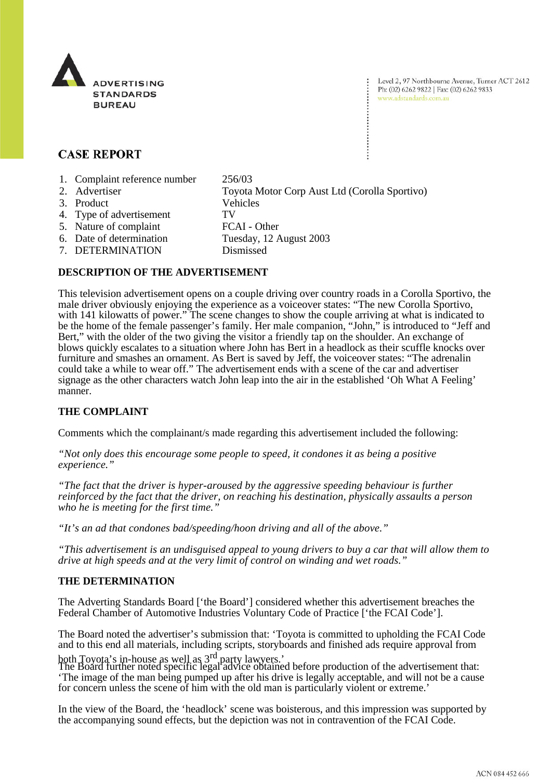

Level 2, 97 Northbourne Avenue, Turner ACT 2612 Ph: (02) 6262 9822 | Fax: (02) 6262 9833 www.adstandards.com.au

## **CASE REPORT**

- 1. Complaint reference number 256/03
- 2. Advertiser Toyota Motor Corp Aust Ltd (Corolla Sportivo) 3. Product Vehicles 4. Type of advertisement TV 5. Nature of complaint FCAI - Other 6. Date of determination Tuesday, 12 August 2003 7. DETERMINATION Dismissed

## **DESCRIPTION OF THE ADVERTISEMENT**

This television advertisement opens on a couple driving over country roads in a Corolla Sportivo, the male driver obviously enjoying the experience as a voiceover states: "The new Corolla Sportivo, with 141 kilowatts of power." The scene changes to show the couple arriving at what is indicated to be the home of the female passenger's family. Her male companion, "John," is introduced to "Jeff and Bert," with the older of the two giving the visitor a friendly tap on the shoulder. An exchange of blows quickly escalates to a situation where John has Bert in a headlock as their scuffle knocks over furniture and smashes an ornament. As Bert is saved by Jeff, the voiceover states: "The adrenalin could take a while to wear off." The advertisement ends with a scene of the car and advertiser signage as the other characters watch John leap into the air in the established 'Oh What A Feeling' manner.

## **THE COMPLAINT**

Comments which the complainant/s made regarding this advertisement included the following:

*"Not only does this encourage some people to speed, it condones it as being a positive experience."*

*"The fact that the driver is hyper-aroused by the aggressive speeding behaviour is further reinforced by the fact that the driver, on reaching his destination, physically assaults a person who he is meeting for the first time."*

*"It's an ad that condones bad/speeding/hoon driving and all of the above."*

*"This advertisement is an undisguised appeal to young drivers to buy a car that will allow them to drive at high speeds and at the very limit of control on winding and wet roads."*

## **THE DETERMINATION**

The Adverting Standards Board ['the Board'] considered whether this advertisement breaches the Federal Chamber of Automotive Industries Voluntary Code of Practice ['the FCAI Code'].

The Board noted the advertiser's submission that: 'Toyota is committed to upholding the FCAI Code and to this end all materials, including scripts, storyboards and finished ads require approval from

both Toyota's in-house as well as 3<sup>rd</sup> party lawyers.'<br>The Board further noted specific legal advice obtained before production of the advertisement that: 'The image of the man being pumped up after his drive is legally acceptable, and will not be a cause for concern unless the scene of him with the old man is particularly violent or extreme.'

In the view of the Board, the 'headlock' scene was boisterous, and this impression was supported by the accompanying sound effects, but the depiction was not in contravention of the FCAI Code.